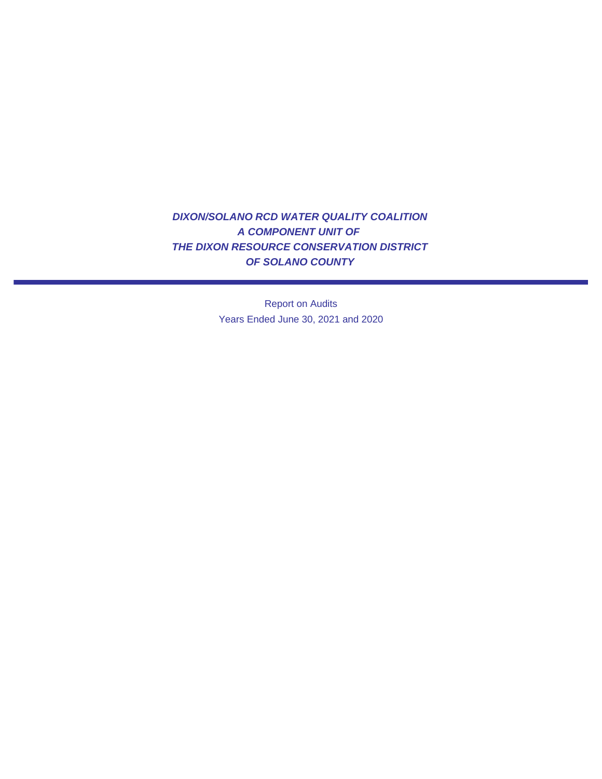*DIXON/SOLANO RCD WATER QUALITY COALITION THE DIXON RESOURCE CONSERVATION DISTRICT A COMPONENT UNIT OF OF SOLANO COUNTY*

> Report on Audits Years Ended June 30, 2021 and 2020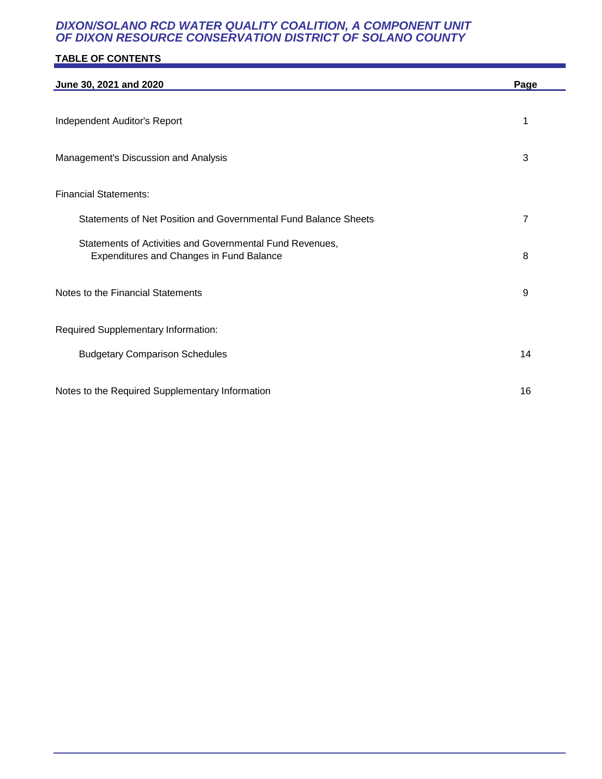## **TABLE OF CONTENTS**

| June 30, 2021 and 2020                                                                                      | Page           |
|-------------------------------------------------------------------------------------------------------------|----------------|
| Independent Auditor's Report                                                                                | 1              |
| Management's Discussion and Analysis                                                                        | 3              |
| <b>Financial Statements:</b>                                                                                |                |
| Statements of Net Position and Governmental Fund Balance Sheets                                             | $\overline{7}$ |
| Statements of Activities and Governmental Fund Revenues,<br><b>Expenditures and Changes in Fund Balance</b> | 8              |
| Notes to the Financial Statements                                                                           | 9              |
| Required Supplementary Information:                                                                         |                |
| <b>Budgetary Comparison Schedules</b>                                                                       | 14             |
| Notes to the Required Supplementary Information                                                             | 16             |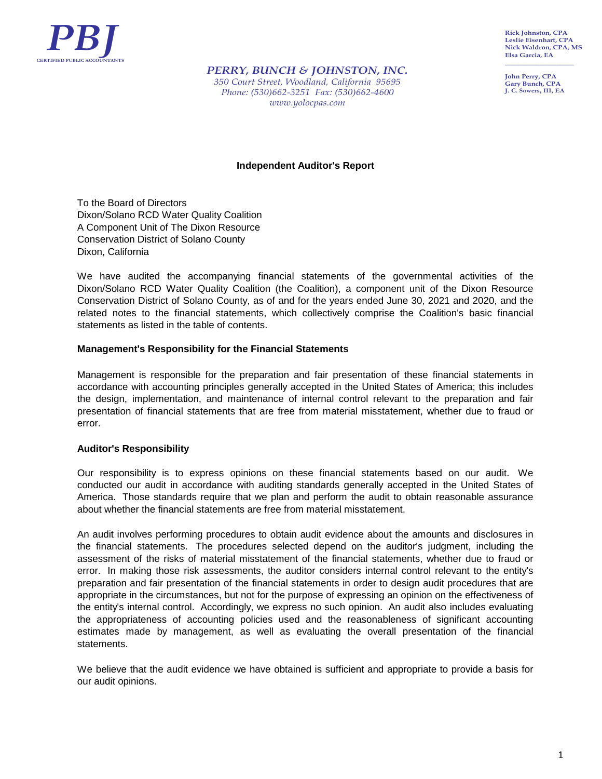

**Leslie Eisenhart, CPA Nick Waldron, CPA, MS Elsa Garcia, EA \_\_\_\_\_\_\_\_\_\_\_\_\_\_\_\_\_\_\_\_**

*PERRY, BUNCH & JOHNSTON, INC. 350 Court Street, Woodland, California 95695 Phone: (530)662-3251 Fax: (530)662-4600 www.yolocpas.com*

**John Perry, CPA Gary Bunch, CPA J. C. Sowers, III, EA**

## **Independent Auditor's Report**

To the Board of Directors Dixon/Solano RCD Water Quality Coalition A Component Unit of The Dixon Resource Conservation District of Solano County Dixon, California

We have audited the accompanying financial statements of the governmental activities of the Dixon/Solano RCD Water Quality Coalition (the Coalition), a component unit of the Dixon Resource Conservation District of Solano County, as of and for the years ended June 30, 2021 and 2020, and the related notes to the financial statements, which collectively comprise the Coalition's basic financial statements as listed in the table of contents.

#### **Management's Responsibility for the Financial Statements**

Management is responsible for the preparation and fair presentation of these financial statements in accordance with accounting principles generally accepted in the United States of America; this includes the design, implementation, and maintenance of internal control relevant to the preparation and fair presentation of financial statements that are free from material misstatement, whether due to fraud or error.

#### **Auditor's Responsibility**

Our responsibility is to express opinions on these financial statements based on our audit. We conducted our audit in accordance with auditing standards generally accepted in the United States of America. Those standards require that we plan and perform the audit to obtain reasonable assurance about whether the financial statements are free from material misstatement.

An audit involves performing procedures to obtain audit evidence about the amounts and disclosures in the financial statements. The procedures selected depend on the auditor's judgment, including the assessment of the risks of material misstatement of the financial statements, whether due to fraud or error. In making those risk assessments, the auditor considers internal control relevant to the entity's preparation and fair presentation of the financial statements in order to design audit procedures that are appropriate in the circumstances, but not for the purpose of expressing an opinion on the effectiveness of the entity's internal control. Accordingly, we express no such opinion. An audit also includes evaluating the appropriateness of accounting policies used and the reasonableness of significant accounting estimates made by management, as well as evaluating the overall presentation of the financial statements.

We believe that the audit evidence we have obtained is sufficient and appropriate to provide a basis for our audit opinions.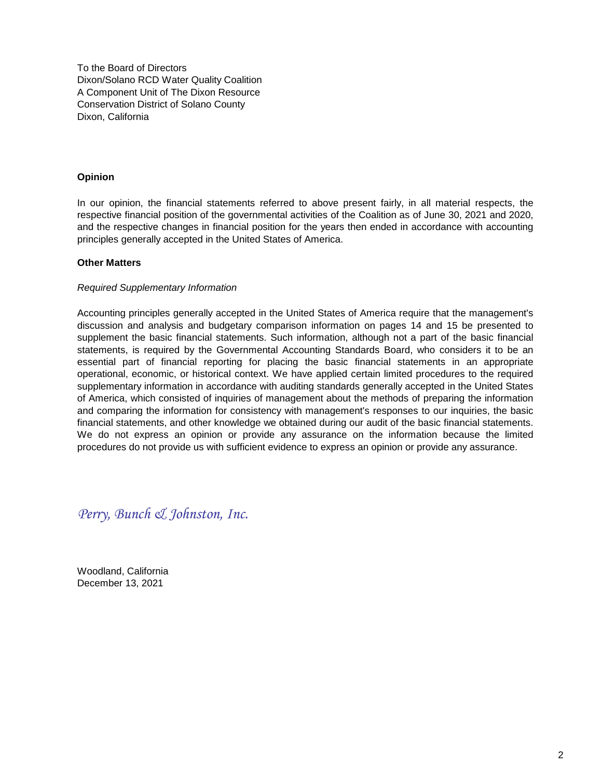To the Board of Directors Dixon/Solano RCD Water Quality Coalition A Component Unit of The Dixon Resource Conservation District of Solano County Dixon, California

### **Opinion**

In our opinion, the financial statements referred to above present fairly, in all material respects, the respective financial position of the governmental activities of the Coalition as of June 30, 2021 and 2020, and the respective changes in financial position for the years then ended in accordance with accounting principles generally accepted in the United States of America.

### **Other Matters**

#### *Required Supplementary Information*

Accounting principles generally accepted in the United States of America require that the management's discussion and analysis and budgetary comparison information on pages 14 and 15 be presented to supplement the basic financial statements. Such information, although not a part of the basic financial statements, is required by the Governmental Accounting Standards Board, who considers it to be an essential part of financial reporting for placing the basic financial statements in an appropriate operational, economic, or historical context. We have applied certain limited procedures to the required supplementary information in accordance with auditing standards generally accepted in the United States of America, which consisted of inquiries of management about the methods of preparing the information and comparing the information for consistency with management's responses to our inquiries, the basic financial statements, and other knowledge we obtained during our audit of the basic financial statements. We do not express an opinion or provide any assurance on the information because the limited procedures do not provide us with sufficient evidence to express an opinion or provide any assurance.

*Perry, Bunch & Johnston, Inc.*

Woodland, California December 13, 2021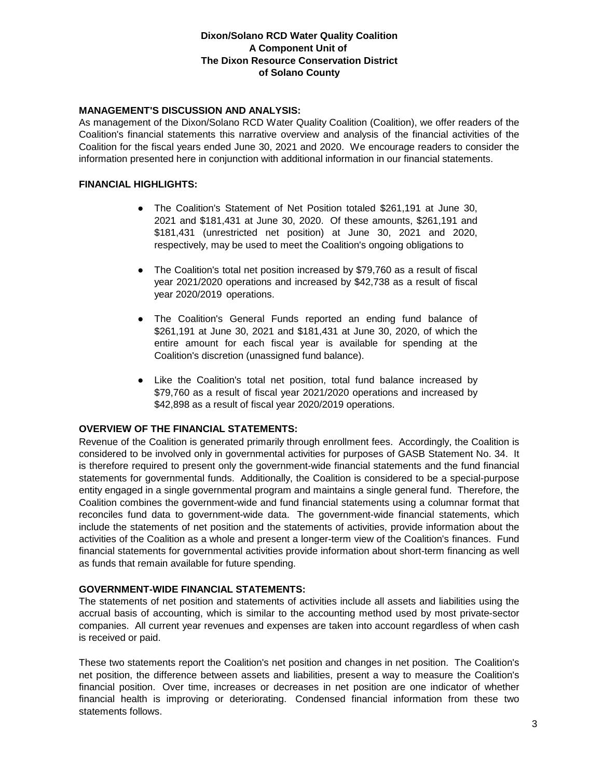## **Dixon/Solano RCD Water Quality Coalition A Component Unit of The Dixon Resource Conservation District of Solano County**

## **MANAGEMENT'S DISCUSSION AND ANALYSIS:**

As management of the Dixon/Solano RCD Water Quality Coalition (Coalition), we offer readers of the Coalition's financial statements this narrative overview and analysis of the financial activities of the Coalition for the fiscal years ended June 30, 2021 and 2020. We encourage readers to consider the information presented here in conjunction with additional information in our financial statements.

### **FINANCIAL HIGHLIGHTS:**

- The Coalition's Statement of Net Position totaled \$261,191 at June 30, 2021 and \$181,431 at June 30, 2020. Of these amounts, \$261,191 and \$181,431 (unrestricted net position) at June 30, 2021 and 2020, respectively, may be used to meet the Coalition's ongoing obligations to
- The Coalition's total net position increased by \$79,760 as a result of fiscal year 2021/2020 operations and increased by \$42,738 as a result of fiscal year 2020/2019 operations.
- The Coalition's General Funds reported an ending fund balance of \$261,191 at June 30, 2021 and \$181,431 at June 30, 2020, of which the entire amount for each fiscal year is available for spending at the Coalition's discretion (unassigned fund balance).
- Like the Coalition's total net position, total fund balance increased by \$79,760 as a result of fiscal year 2021/2020 operations and increased by \$42,898 as a result of fiscal year 2020/2019 operations.

#### **OVERVIEW OF THE FINANCIAL STATEMENTS:**

Revenue of the Coalition is generated primarily through enrollment fees. Accordingly, the Coalition is considered to be involved only in governmental activities for purposes of GASB Statement No. 34. It is therefore required to present only the government-wide financial statements and the fund financial statements for governmental funds. Additionally, the Coalition is considered to be a special-purpose entity engaged in a single governmental program and maintains a single general fund. Therefore, the Coalition combines the government-wide and fund financial statements using a columnar format that reconciles fund data to government-wide data. The government-wide financial statements, which include the statements of net position and the statements of activities, provide information about the activities of the Coalition as a whole and present a longer-term view of the Coalition's finances. Fund financial statements for governmental activities provide information about short-term financing as well as funds that remain available for future spending.

#### **GOVERNMENT-WIDE FINANCIAL STATEMENTS:**

The statements of net position and statements of activities include all assets and liabilities using the accrual basis of accounting, which is similar to the accounting method used by most private-sector companies. All current year revenues and expenses are taken into account regardless of when cash is received or paid.

These two statements report the Coalition's net position and changes in net position. The Coalition's net position, the difference between assets and liabilities, present a way to measure the Coalition's financial position. Over time, increases or decreases in net position are one indicator of whether financial health is improving or deteriorating. Condensed financial information from these two statements follows.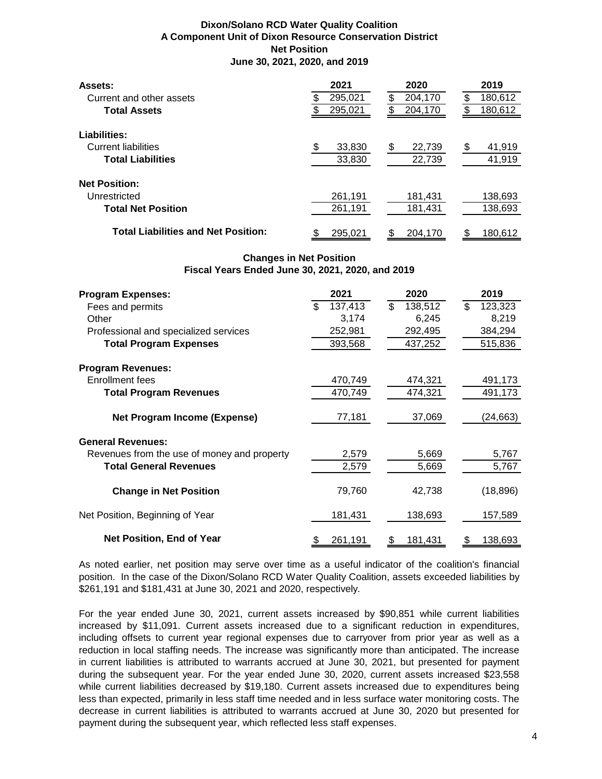## **Dixon/Solano RCD Water Quality Coalition A Component Unit of Dixon Resource Conservation District Net Position June 30, 2021, 2020, and 2019**

| <b>Assets:</b>                             | 2021         | 2020          | 2019         |
|--------------------------------------------|--------------|---------------|--------------|
| Current and other assets                   | 295,021<br>S | 204,170<br>\$ | 180,612<br>S |
| <b>Total Assets</b>                        | 295,021      | \$<br>204,170 | 180,612      |
| Liabilities:                               |              |               |              |
| <b>Current liabilities</b>                 | \$<br>33,830 | 22,739<br>\$  | \$<br>41,919 |
| <b>Total Liabilities</b>                   | 33,830       | 22,739        | 41,919       |
| <b>Net Position:</b>                       |              |               |              |
| Unrestricted                               | 261,191      | 181,431       | 138,693      |
| <b>Total Net Position</b>                  | 261,191      | 181,431       | 138,693      |
| <b>Total Liabilities and Net Position:</b> | 295,021<br>S | 204.170<br>S  | 180.612      |

## **Changes in Net Position Fiscal Years Ended June 30, 2021, 2020, and 2019**

| <b>Program Expenses:</b>                    | 2021          | 2020          | 2019          |
|---------------------------------------------|---------------|---------------|---------------|
| Fees and permits                            | 137,413<br>\$ | \$<br>138,512 | \$<br>123,323 |
| Other                                       | 3,174         | 6,245         | 8,219         |
| Professional and specialized services       | 252,981       | 292,495       | 384,294       |
| <b>Total Program Expenses</b>               | 393,568       | 437,252       | 515,836       |
| <b>Program Revenues:</b>                    |               |               |               |
| <b>Enrollment fees</b>                      | 470,749       | 474,321       | 491,173       |
| <b>Total Program Revenues</b>               | 470,749       | 474,321       | 491,173       |
| <b>Net Program Income (Expense)</b>         | 77,181        | 37,069        | (24,663)      |
| <b>General Revenues:</b>                    |               |               |               |
| Revenues from the use of money and property | 2,579         | 5,669         | 5,767         |
| <b>Total General Revenues</b>               | 2,579         | 5,669         | 5,767         |
| <b>Change in Net Position</b>               | 79,760        | 42,738        | (18, 896)     |
| Net Position, Beginning of Year             | 181,431       | 138,693       | 157,589       |
| <b>Net Position, End of Year</b>            | 261,191       | 181,431       | 138,693       |

As noted earlier, net position may serve over time as a useful indicator of the coalition's financial position. In the case of the Dixon/Solano RCD Water Quality Coalition, assets exceeded liabilities by \$261,191 and \$181,431 at June 30, 2021 and 2020, respectively.

For the year ended June 30, 2021, current assets increased by \$90,851 while current liabilities increased by \$11,091. Current assets increased due to a significant reduction in expenditures, including offsets to current year regional expenses due to carryover from prior year as well as a reduction in local staffing needs. The increase was significantly more than anticipated. The increase in current liabilities is attributed to warrants accrued at June 30, 2021, but presented for payment during the subsequent year. For the year ended June 30, 2020, current assets increased \$23,558 while current liabilities decreased by \$19,180. Current assets increased due to expenditures being less than expected, primarily in less staff time needed and in less surface water monitoring costs. The decrease in current liabilities is attributed to warrants accrued at June 30, 2020 but presented for payment during the subsequent year, which reflected less staff expenses.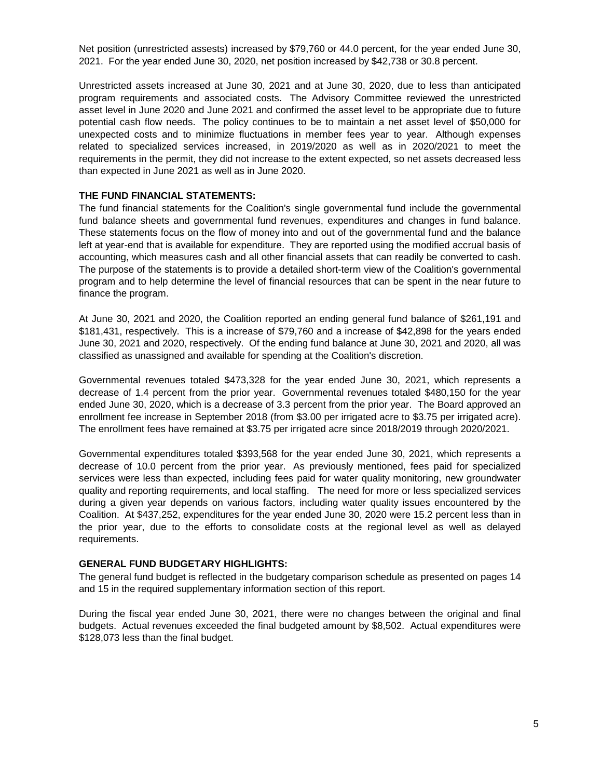Net position (unrestricted assests) increased by \$79,760 or 44.0 percent, for the year ended June 30, 2021. For the year ended June 30, 2020, net position increased by \$42,738 or 30.8 percent.

Unrestricted assets increased at June 30, 2021 and at June 30, 2020, due to less than anticipated program requirements and associated costs. The Advisory Committee reviewed the unrestricted asset level in June 2020 and June 2021 and confirmed the asset level to be appropriate due to future potential cash flow needs. The policy continues to be to maintain a net asset level of \$50,000 for unexpected costs and to minimize fluctuations in member fees year to year. Although expenses related to specialized services increased, in 2019/2020 as well as in 2020/2021 to meet the requirements in the permit, they did not increase to the extent expected, so net assets decreased less than expected in June 2021 as well as in June 2020.

#### **THE FUND FINANCIAL STATEMENTS:**

The fund financial statements for the Coalition's single governmental fund include the governmental fund balance sheets and governmental fund revenues, expenditures and changes in fund balance. These statements focus on the flow of money into and out of the governmental fund and the balance left at year-end that is available for expenditure. They are reported using the modified accrual basis of accounting, which measures cash and all other financial assets that can readily be converted to cash. The purpose of the statements is to provide a detailed short-term view of the Coalition's governmental program and to help determine the level of financial resources that can be spent in the near future to finance the program.

At June 30, 2021 and 2020, the Coalition reported an ending general fund balance of \$261,191 and \$181,431, respectively. This is a increase of \$79,760 and a increase of \$42,898 for the years ended June 30, 2021 and 2020, respectively. Of the ending fund balance at June 30, 2021 and 2020, all was classified as unassigned and available for spending at the Coalition's discretion.

Governmental revenues totaled \$473,328 for the year ended June 30, 2021, which represents a decrease of 1.4 percent from the prior year. Governmental revenues totaled \$480,150 for the year ended June 30, 2020, which is a decrease of 3.3 percent from the prior year. The Board approved an enrollment fee increase in September 2018 (from \$3.00 per irrigated acre to \$3.75 per irrigated acre). The enrollment fees have remained at \$3.75 per irrigated acre since 2018/2019 through 2020/2021.

Governmental expenditures totaled \$393,568 for the year ended June 30, 2021, which represents a decrease of 10.0 percent from the prior year. As previously mentioned, fees paid for specialized services were less than expected, including fees paid for water quality monitoring, new groundwater quality and reporting requirements, and local staffing. The need for more or less specialized services during a given year depends on various factors, including water quality issues encountered by the Coalition. At \$437,252, expenditures for the year ended June 30, 2020 were 15.2 percent less than in the prior year, due to the efforts to consolidate costs at the regional level as well as delayed requirements.

#### **GENERAL FUND BUDGETARY HIGHLIGHTS:**

The general fund budget is reflected in the budgetary comparison schedule as presented on pages 14 and 15 in the required supplementary information section of this report.

During the fiscal year ended June 30, 2021, there were no changes between the original and final budgets. Actual revenues exceeded the final budgeted amount by \$8,502. Actual expenditures were \$128,073 less than the final budget.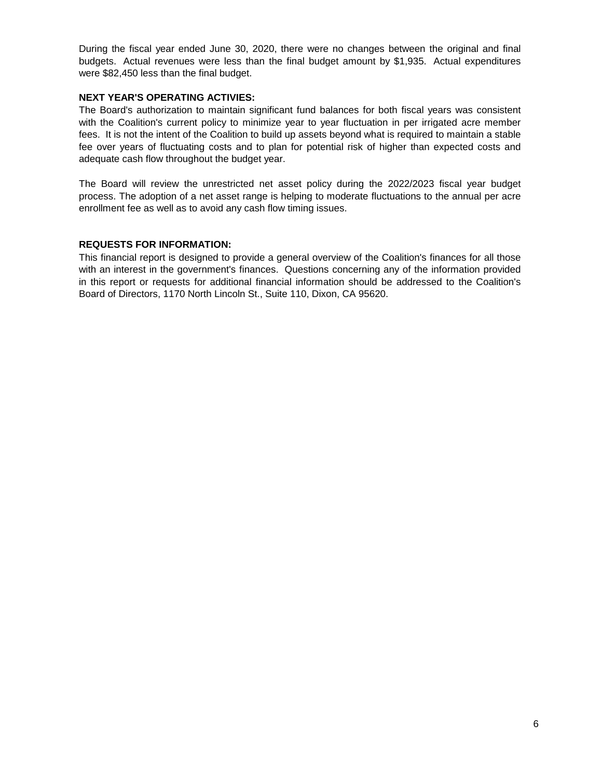During the fiscal year ended June 30, 2020, there were no changes between the original and final budgets. Actual revenues were less than the final budget amount by \$1,935. Actual expenditures were \$82,450 less than the final budget.

### **NEXT YEAR'S OPERATING ACTIVIES:**

The Board's authorization to maintain significant fund balances for both fiscal years was consistent with the Coalition's current policy to minimize year to year fluctuation in per irrigated acre member fees. It is not the intent of the Coalition to build up assets beyond what is required to maintain a stable fee over years of fluctuating costs and to plan for potential risk of higher than expected costs and adequate cash flow throughout the budget year.

The Board will review the unrestricted net asset policy during the 2022/2023 fiscal year budget process. The adoption of a net asset range is helping to moderate fluctuations to the annual per acre enrollment fee as well as to avoid any cash flow timing issues.

### **REQUESTS FOR INFORMATION:**

This financial report is designed to provide a general overview of the Coalition's finances for all those with an interest in the government's finances. Questions concerning any of the information provided in this report or requests for additional financial information should be addressed to the Coalition's Board of Directors, 1170 North Lincoln St., Suite 110, Dixon, CA 95620.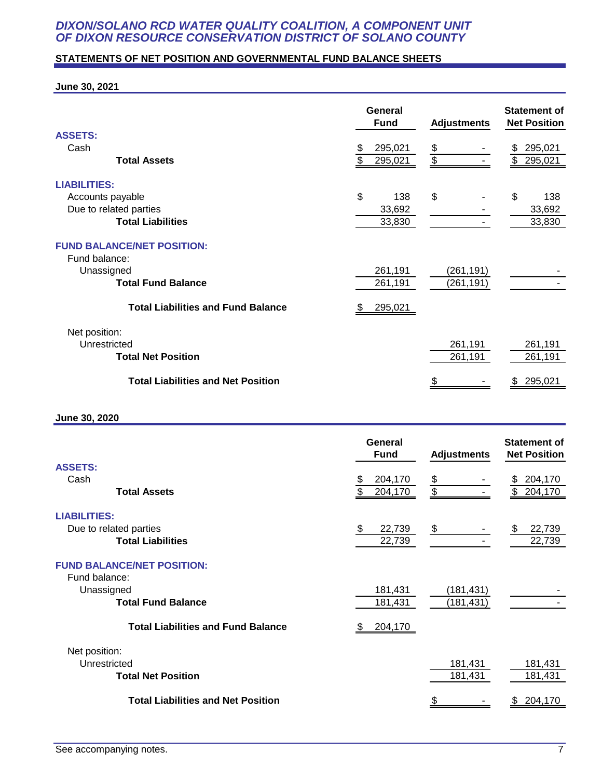## **STATEMENTS OF NET POSITION AND GOVERNMENTAL FUND BALANCE SHEETS**

### **June 30, 2021**

|                                           | General<br><b>Fund</b> | <b>Adjustments</b> | <b>Statement of</b><br><b>Net Position</b> |
|-------------------------------------------|------------------------|--------------------|--------------------------------------------|
| <b>ASSETS:</b>                            |                        |                    |                                            |
| Cash                                      | 295,021<br>\$          | $\frac{1}{2}$      | 295,021<br>\$                              |
| <b>Total Assets</b>                       | \$<br>295,021          | \$                 | \$<br>295,021                              |
| <b>LIABILITIES:</b>                       |                        |                    |                                            |
| Accounts payable                          | \$<br>138              | \$                 | \$<br>138                                  |
| Due to related parties                    | 33,692                 |                    | 33,692                                     |
| <b>Total Liabilities</b>                  | 33,830                 |                    | 33,830                                     |
| <b>FUND BALANCE/NET POSITION:</b>         |                        |                    |                                            |
| Fund balance:                             |                        |                    |                                            |
| Unassigned                                | 261,191                | (261,191)          |                                            |
| <b>Total Fund Balance</b>                 | 261,191                | (261,191)          |                                            |
| <b>Total Liabilities and Fund Balance</b> | 295,021<br>S.          |                    |                                            |
| Net position:                             |                        |                    |                                            |
| Unrestricted                              |                        | 261,191            | 261,191                                    |
| <b>Total Net Position</b>                 |                        | 261,191            | 261,191                                    |
| <b>Total Liabilities and Net Position</b> |                        |                    | 295,021                                    |

#### **June 30, 2020**

|                                           | General<br><b>Fund</b> | <b>Adjustments</b>      | <b>Statement of</b><br><b>Net Position</b> |
|-------------------------------------------|------------------------|-------------------------|--------------------------------------------|
| <b>ASSETS:</b>                            |                        |                         |                                            |
| Cash                                      | 204,170<br>\$          | $\frac{3}{2}$           | 204,170<br>S                               |
| <b>Total Assets</b>                       | \$<br>204,170          | $\overline{\mathbf{e}}$ | \$<br>204,170                              |
| <b>LIABILITIES:</b>                       |                        |                         |                                            |
| Due to related parties                    | \$<br>22,739           | \$                      | 22,739<br>\$                               |
| <b>Total Liabilities</b>                  | 22,739                 |                         | 22,739                                     |
| <b>FUND BALANCE/NET POSITION:</b>         |                        |                         |                                            |
| Fund balance:                             |                        |                         |                                            |
| Unassigned                                | 181,431                | (181, 431)              |                                            |
| <b>Total Fund Balance</b>                 | 181,431                | (181, 431)              |                                            |
| <b>Total Liabilities and Fund Balance</b> | 204,170<br>æ.          |                         |                                            |
| Net position:                             |                        |                         |                                            |
| Unrestricted                              |                        | 181,431                 | 181,431                                    |
| <b>Total Net Position</b>                 |                        | 181,431                 | 181,431                                    |
| <b>Total Liabilities and Net Position</b> |                        |                         | 204,170                                    |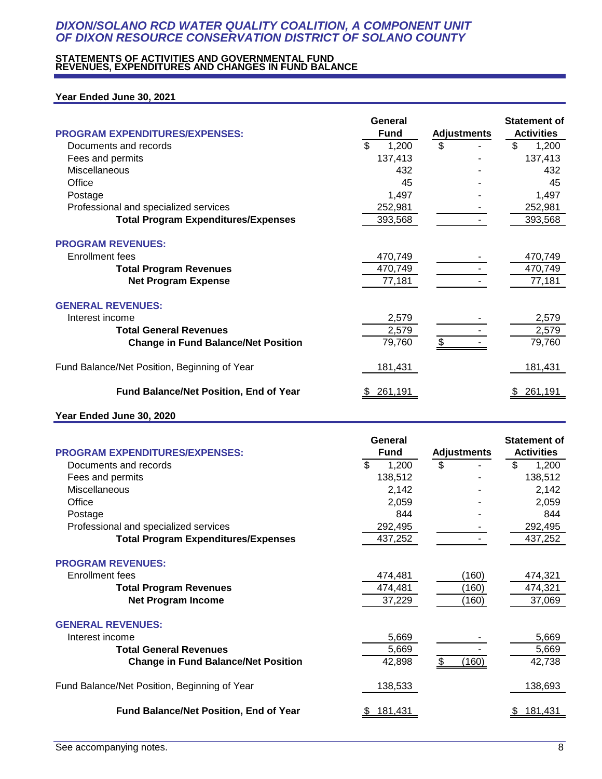#### **STATEMENTS OF ACTIVITIES AND GOVERNMENTAL FUND REVENUES, EXPENDITURES AND CHANGES IN FUND BALANCE**

## **Year Ended June 30, 2021**

| <b>PROGRAM EXPENDITURES/EXPENSES:</b>        | General<br><b>Fund</b> | <b>Adjustments</b> | <b>Statement of</b><br><b>Activities</b> |
|----------------------------------------------|------------------------|--------------------|------------------------------------------|
| Documents and records                        | \$<br>1,200            | \$                 | \$.<br>1,200                             |
| Fees and permits                             | 137,413                |                    | 137,413                                  |
| Miscellaneous                                | 432                    |                    | 432                                      |
| Office                                       | 45                     |                    | 45                                       |
| Postage                                      | 1,497                  |                    | 1,497                                    |
| Professional and specialized services        | 252,981                |                    | 252,981                                  |
| <b>Total Program Expenditures/Expenses</b>   | 393,568                |                    | 393,568                                  |
| <b>PROGRAM REVENUES:</b>                     |                        |                    |                                          |
| <b>Enrollment fees</b>                       | 470,749                |                    | 470,749                                  |
| <b>Total Program Revenues</b>                | 470,749                |                    | 470,749                                  |
| <b>Net Program Expense</b>                   | 77,181                 |                    | 77,181                                   |
| <b>GENERAL REVENUES:</b>                     |                        |                    |                                          |
| Interest income                              | 2,579                  |                    | 2,579                                    |
| <b>Total General Revenues</b>                | 2,579                  |                    | 2,579                                    |
| <b>Change in Fund Balance/Net Position</b>   | 79,760                 | \$                 | 79,760                                   |
| Fund Balance/Net Position, Beginning of Year | 181,431                |                    | 181,431                                  |
| Fund Balance/Net Position, End of Year       | 261,191                |                    | 261,191                                  |

### **Year Ended June 30, 2020**

|                                              | General     |                    | <b>Statement of</b> |
|----------------------------------------------|-------------|--------------------|---------------------|
| <b>PROGRAM EXPENDITURES/EXPENSES:</b>        | <b>Fund</b> | <b>Adjustments</b> | <b>Activities</b>   |
| Documents and records                        | \$<br>1,200 | \$                 | 1,200<br>S.         |
| Fees and permits                             | 138,512     |                    | 138,512             |
| Miscellaneous                                | 2,142       |                    | 2,142               |
| Office                                       | 2,059       |                    | 2,059               |
| Postage                                      | 844         |                    | 844                 |
| Professional and specialized services        | 292,495     |                    | 292,495             |
| <b>Total Program Expenditures/Expenses</b>   | 437,252     |                    | 437,252             |
| <b>PROGRAM REVENUES:</b>                     |             |                    |                     |
| Enrollment fees                              | 474,481     | (160)              | 474,321             |
| <b>Total Program Revenues</b>                | 474,481     | (160)              | 474,321             |
| <b>Net Program Income</b>                    | 37,229      | (160)              | 37,069              |
| <b>GENERAL REVENUES:</b>                     |             |                    |                     |
| Interest income                              | 5,669       |                    | 5,669               |
| <b>Total General Revenues</b>                | 5,669       |                    | 5,669               |
| <b>Change in Fund Balance/Net Position</b>   | 42,898      | (160)<br>S         | 42,738              |
| Fund Balance/Net Position, Beginning of Year | 138,533     |                    | 138,693             |
| Fund Balance/Net Position, End of Year       | 181,431     |                    | 181,431             |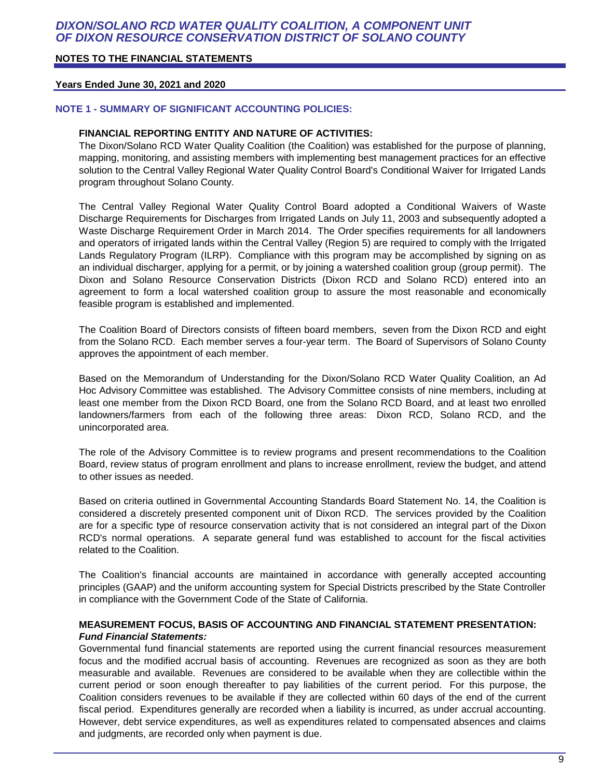## **NOTES TO THE FINANCIAL STATEMENTS**

## **Years Ended June 30, 2021 and 2020**

## **NOTE 1 - SUMMARY OF SIGNIFICANT ACCOUNTING POLICIES:**

### **FINANCIAL REPORTING ENTITY AND NATURE OF ACTIVITIES:**

The Dixon/Solano RCD Water Quality Coalition (the Coalition) was established for the purpose of planning, mapping, monitoring, and assisting members with implementing best management practices for an effective solution to the Central Valley Regional Water Quality Control Board's Conditional Waiver for Irrigated Lands program throughout Solano County.

The Central Valley Regional Water Quality Control Board adopted a Conditional Waivers of Waste Discharge Requirements for Discharges from Irrigated Lands on July 11, 2003 and subsequently adopted a Waste Discharge Requirement Order in March 2014. The Order specifies requirements for all landowners and operators of irrigated lands within the Central Valley (Region 5) are required to comply with the Irrigated Lands Regulatory Program (ILRP). Compliance with this program may be accomplished by signing on as an individual discharger, applying for a permit, or by joining a watershed coalition group (group permit). The Dixon and Solano Resource Conservation Districts (Dixon RCD and Solano RCD) entered into an agreement to form a local watershed coalition group to assure the most reasonable and economically feasible program is established and implemented.

The Coalition Board of Directors consists of fifteen board members, seven from the Dixon RCD and eight from the Solano RCD. Each member serves a four-year term. The Board of Supervisors of Solano County approves the appointment of each member.

Based on the Memorandum of Understanding for the Dixon/Solano RCD Water Quality Coalition, an Ad Hoc Advisory Committee was established. The Advisory Committee consists of nine members, including at least one member from the Dixon RCD Board, one from the Solano RCD Board, and at least two enrolled landowners/farmers from each of the following three areas: Dixon RCD, Solano RCD, and the unincorporated area.

The role of the Advisory Committee is to review programs and present recommendations to the Coalition Board, review status of program enrollment and plans to increase enrollment, review the budget, and attend to other issues as needed.

Based on criteria outlined in Governmental Accounting Standards Board Statement No. 14, the Coalition is considered a discretely presented component unit of Dixon RCD. The services provided by the Coalition are for a specific type of resource conservation activity that is not considered an integral part of the Dixon RCD's normal operations. A separate general fund was established to account for the fiscal activities related to the Coalition.

The Coalition's financial accounts are maintained in accordance with generally accepted accounting principles (GAAP) and the uniform accounting system for Special Districts prescribed by the State Controller in compliance with the Government Code of the State of California.

## **MEASUREMENT FOCUS, BASIS OF ACCOUNTING AND FINANCIAL STATEMENT PRESENTATION:** *Fund Financial Statements:*

Governmental fund financial statements are reported using the current financial resources measurement focus and the modified accrual basis of accounting. Revenues are recognized as soon as they are both measurable and available. Revenues are considered to be available when they are collectible within the current period or soon enough thereafter to pay liabilities of the current period. For this purpose, the Coalition considers revenues to be available if they are collected within 60 days of the end of the current fiscal period. Expenditures generally are recorded when a liability is incurred, as under accrual accounting. However, debt service expenditures, as well as expenditures related to compensated absences and claims and judgments, are recorded only when payment is due.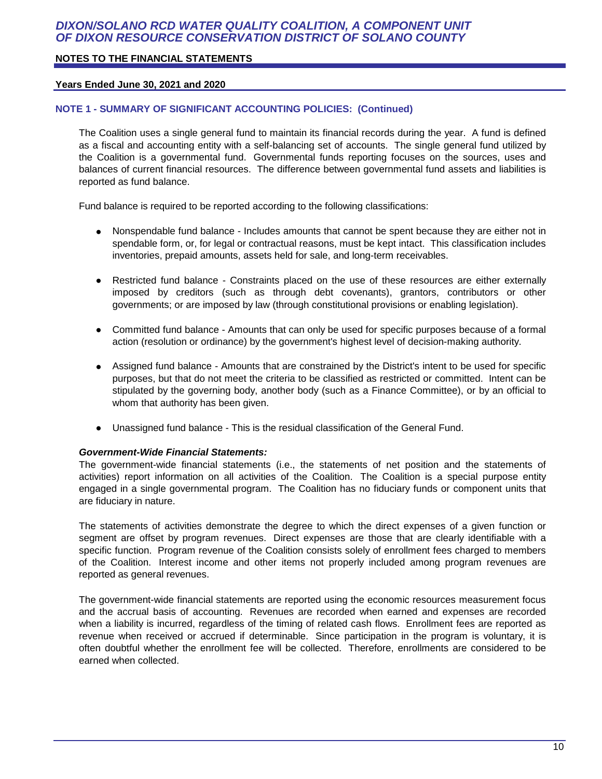## **NOTES TO THE FINANCIAL STATEMENTS**

#### **Years Ended June 30, 2021 and 2020**

## **NOTE 1 - SUMMARY OF SIGNIFICANT ACCOUNTING POLICIES: (Continued)**

The Coalition uses a single general fund to maintain its financial records during the year. A fund is defined as a fiscal and accounting entity with a self-balancing set of accounts. The single general fund utilized by the Coalition is a governmental fund. Governmental funds reporting focuses on the sources, uses and balances of current financial resources. The difference between governmental fund assets and liabilities is reported as fund balance.

Fund balance is required to be reported according to the following classifications:

- **●** Nonspendable fund balance Includes amounts that cannot be spent because they are either not in spendable form, or, for legal or contractual reasons, must be kept intact. This classification includes inventories, prepaid amounts, assets held for sale, and long-term receivables.
- **●** Restricted fund balance - Constraints placed on the use of these resources are either externally imposed by creditors (such as through debt covenants), grantors, contributors or other governments; or are imposed by law (through constitutional provisions or enabling legislation).
- **●** Committed fund balance Amounts that can only be used for specific purposes because of a formal action (resolution or ordinance) by the government's highest level of decision-making authority.
- **●** Assigned fund balance Amounts that are constrained by the District's intent to be used for specific purposes, but that do not meet the criteria to be classified as restricted or committed. Intent can be stipulated by the governing body, another body (such as a Finance Committee), or by an official to whom that authority has been given.
- **●** Unassigned fund balance This is the residual classification of the General Fund.

#### *Government-Wide Financial Statements:*

The government-wide financial statements (i.e., the statements of net position and the statements of activities) report information on all activities of the Coalition. The Coalition is a special purpose entity engaged in a single governmental program. The Coalition has no fiduciary funds or component units that are fiduciary in nature.

The statements of activities demonstrate the degree to which the direct expenses of a given function or segment are offset by program revenues. Direct expenses are those that are clearly identifiable with a specific function. Program revenue of the Coalition consists solely of enrollment fees charged to members of the Coalition. Interest income and other items not properly included among program revenues are reported as general revenues.

The government-wide financial statements are reported using the economic resources measurement focus and the accrual basis of accounting. Revenues are recorded when earned and expenses are recorded when a liability is incurred, regardless of the timing of related cash flows. Enrollment fees are reported as revenue when received or accrued if determinable. Since participation in the program is voluntary, it is often doubtful whether the enrollment fee will be collected. Therefore, enrollments are considered to be earned when collected.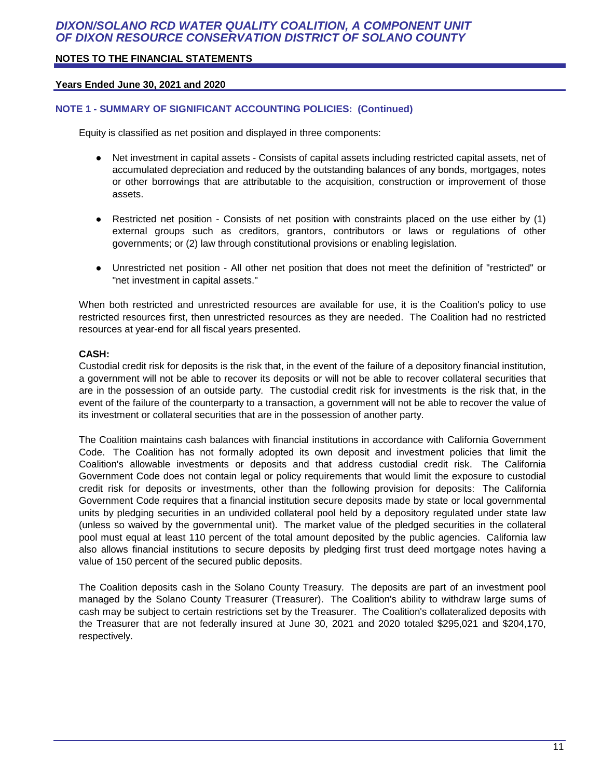## **NOTES TO THE FINANCIAL STATEMENTS**

### **Years Ended June 30, 2021 and 2020**

## **NOTE 1 - SUMMARY OF SIGNIFICANT ACCOUNTING POLICIES: (Continued)**

Equity is classified as net position and displayed in three components:

- **●** Net investment in capital assets Consists of capital assets including restricted capital assets, net of accumulated depreciation and reduced by the outstanding balances of any bonds, mortgages, notes or other borrowings that are attributable to the acquisition, construction or improvement of those assets.
- **●** Restricted net position Consists of net position with constraints placed on the use either by (1) external groups such as creditors, grantors, contributors or laws or regulations of other governments; or (2) law through constitutional provisions or enabling legislation.
- **●** Unrestricted net position All other net position that does not meet the definition of "restricted" or "net investment in capital assets."

When both restricted and unrestricted resources are available for use, it is the Coalition's policy to use restricted resources first, then unrestricted resources as they are needed. The Coalition had no restricted resources at year-end for all fiscal years presented.

#### **CASH:**

Custodial credit risk for deposits is the risk that, in the event of the failure of a depository financial institution, a government will not be able to recover its deposits or will not be able to recover collateral securities that are in the possession of an outside party. The custodial credit risk for investments is the risk that, in the event of the failure of the counterparty to a transaction, a government will not be able to recover the value of its investment or collateral securities that are in the possession of another party.

The Coalition maintains cash balances with financial institutions in accordance with California Government Code. The Coalition has not formally adopted its own deposit and investment policies that limit the Coalition's allowable investments or deposits and that address custodial credit risk. The California Government Code does not contain legal or policy requirements that would limit the exposure to custodial credit risk for deposits or investments, other than the following provision for deposits: The California Government Code requires that a financial institution secure deposits made by state or local governmental units by pledging securities in an undivided collateral pool held by a depository regulated under state law (unless so waived by the governmental unit). The market value of the pledged securities in the collateral pool must equal at least 110 percent of the total amount deposited by the public agencies. California law also allows financial institutions to secure deposits by pledging first trust deed mortgage notes having a value of 150 percent of the secured public deposits.

The Coalition deposits cash in the Solano County Treasury. The deposits are part of an investment pool managed by the Solano County Treasurer (Treasurer). The Coalition's ability to withdraw large sums of cash may be subject to certain restrictions set by the Treasurer. The Coalition's collateralized deposits with the Treasurer that are not federally insured at June 30, 2021 and 2020 totaled \$295,021 and \$204,170, respectively.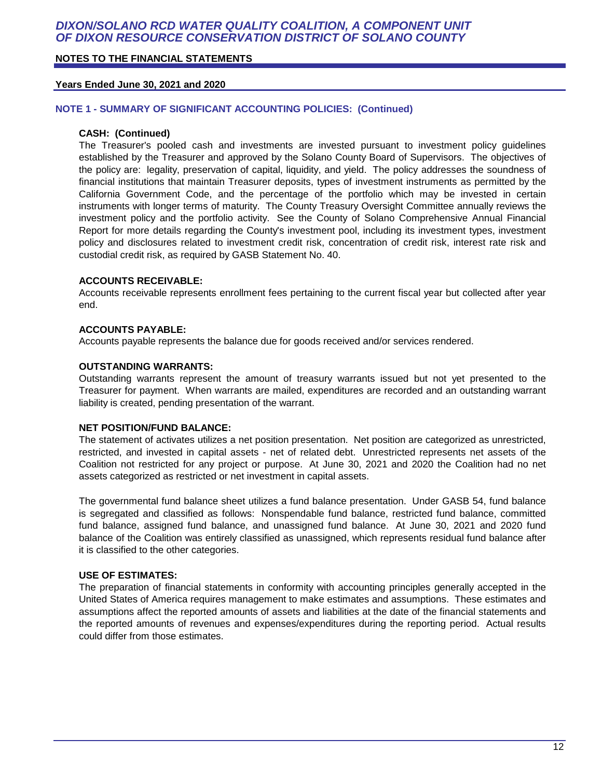## **NOTES TO THE FINANCIAL STATEMENTS**

#### **Years Ended June 30, 2021 and 2020**

#### **NOTE 1 - SUMMARY OF SIGNIFICANT ACCOUNTING POLICIES: (Continued)**

#### **CASH: (Continued)**

The Treasurer's pooled cash and investments are invested pursuant to investment policy guidelines established by the Treasurer and approved by the Solano County Board of Supervisors. The objectives of the policy are: legality, preservation of capital, liquidity, and yield. The policy addresses the soundness of financial institutions that maintain Treasurer deposits, types of investment instruments as permitted by the California Government Code, and the percentage of the portfolio which may be invested in certain instruments with longer terms of maturity. The County Treasury Oversight Committee annually reviews the investment policy and the portfolio activity. See the County of Solano Comprehensive Annual Financial Report for more details regarding the County's investment pool, including its investment types, investment policy and disclosures related to investment credit risk, concentration of credit risk, interest rate risk and custodial credit risk, as required by GASB Statement No. 40.

#### **ACCOUNTS RECEIVABLE:**

Accounts receivable represents enrollment fees pertaining to the current fiscal year but collected after year end.

#### **ACCOUNTS PAYABLE:**

Accounts payable represents the balance due for goods received and/or services rendered.

#### **OUTSTANDING WARRANTS:**

Outstanding warrants represent the amount of treasury warrants issued but not yet presented to the Treasurer for payment. When warrants are mailed, expenditures are recorded and an outstanding warrant liability is created, pending presentation of the warrant.

#### **NET POSITION/FUND BALANCE:**

The statement of activates utilizes a net position presentation. Net position are categorized as unrestricted, restricted, and invested in capital assets - net of related debt. Unrestricted represents net assets of the Coalition not restricted for any project or purpose. At June 30, 2021 and 2020 the Coalition had no net assets categorized as restricted or net investment in capital assets.

The governmental fund balance sheet utilizes a fund balance presentation. Under GASB 54, fund balance is segregated and classified as follows: Nonspendable fund balance, restricted fund balance, committed fund balance, assigned fund balance, and unassigned fund balance. At June 30, 2021 and 2020 fund balance of the Coalition was entirely classified as unassigned, which represents residual fund balance after it is classified to the other categories.

#### **USE OF ESTIMATES:**

The preparation of financial statements in conformity with accounting principles generally accepted in the United States of America requires management to make estimates and assumptions. These estimates and assumptions affect the reported amounts of assets and liabilities at the date of the financial statements and the reported amounts of revenues and expenses/expenditures during the reporting period. Actual results could differ from those estimates.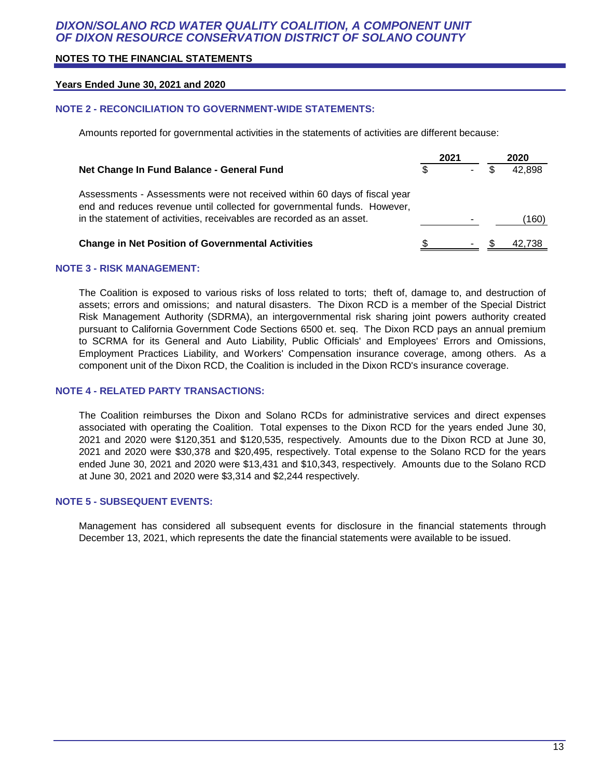## **NOTES TO THE FINANCIAL STATEMENTS**

### **Years Ended June 30, 2021 and 2020**

## **NOTE 2 - RECONCILIATION TO GOVERNMENT-WIDE STATEMENTS:**

Amounts reported for governmental activities in the statements of activities are different because:

|                                                                                                                                                       |     | 2021 |      | 2020   |
|-------------------------------------------------------------------------------------------------------------------------------------------------------|-----|------|------|--------|
| Net Change In Fund Balance - General Fund                                                                                                             | \$. |      |      | 42.898 |
| Assessments - Assessments were not received within 60 days of fiscal year<br>end and reduces revenue until collected for governmental funds. However, |     |      |      |        |
| in the statement of activities, receivables are recorded as an asset.                                                                                 |     |      |      | (160   |
| <b>Change in Net Position of Governmental Activities</b>                                                                                              |     |      | - \$ | 42.738 |

#### **NOTE 3 - RISK MANAGEMENT:**

The Coalition is exposed to various risks of loss related to torts; theft of, damage to, and destruction of assets; errors and omissions; and natural disasters. The Dixon RCD is a member of the Special District Risk Management Authority (SDRMA), an intergovernmental risk sharing joint powers authority created pursuant to California Government Code Sections 6500 et. seq. The Dixon RCD pays an annual premium to SCRMA for its General and Auto Liability, Public Officials' and Employees' Errors and Omissions, Employment Practices Liability, and Workers' Compensation insurance coverage, among others. As a component unit of the Dixon RCD, the Coalition is included in the Dixon RCD's insurance coverage.

### **NOTE 4 - RELATED PARTY TRANSACTIONS:**

The Coalition reimburses the Dixon and Solano RCDs for administrative services and direct expenses associated with operating the Coalition. Total expenses to the Dixon RCD for the years ended June 30, 2021 and 2020 were \$120,351 and \$120,535, respectively. Amounts due to the Dixon RCD at June 30, 2021 and 2020 were \$30,378 and \$20,495, respectively. Total expense to the Solano RCD for the years ended June 30, 2021 and 2020 were \$13,431 and \$10,343, respectively. Amounts due to the Solano RCD at June 30, 2021 and 2020 were \$3,314 and \$2,244 respectively.

#### **NOTE 5 - SUBSEQUENT EVENTS:**

Management has considered all subsequent events for disclosure in the financial statements through December 13, 2021, which represents the date the financial statements were available to be issued.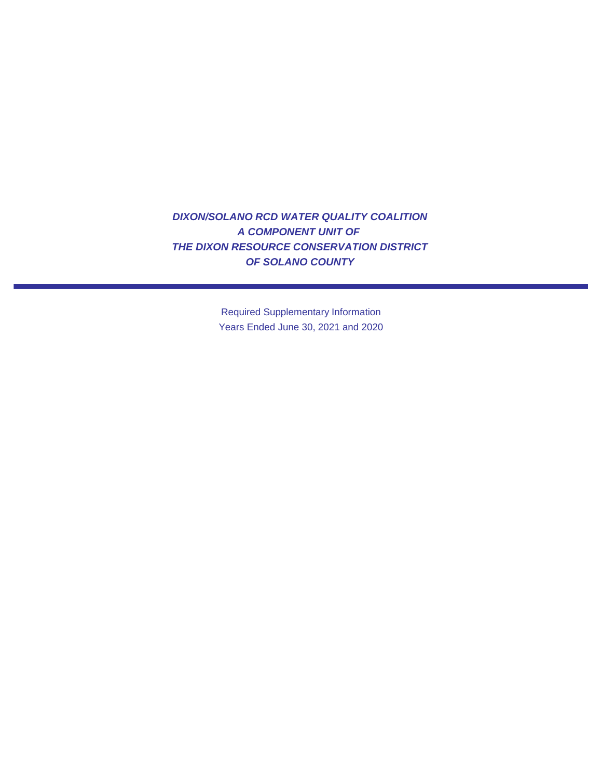*DIXON/SOLANO RCD WATER QUALITY COALITION THE DIXON RESOURCE CONSERVATION DISTRICT OF SOLANO COUNTY A COMPONENT UNIT OF* 

> Years Ended June 30, 2021 and 2020 Required Supplementary Information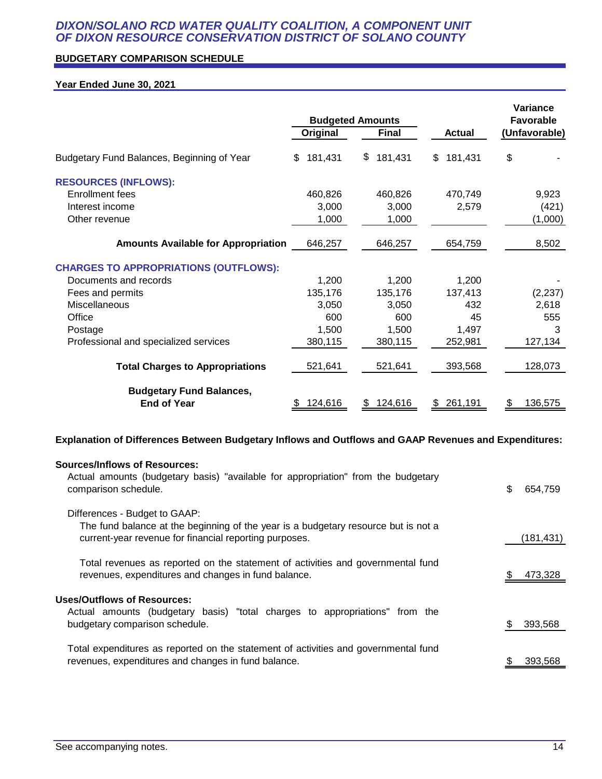## **BUDGETARY COMPARISON SCHEDULE**

## **Year Ended June 30, 2021**

|                                              |               | <b>Budgeted Amounts</b> |               | Variance<br><b>Favorable</b> |
|----------------------------------------------|---------------|-------------------------|---------------|------------------------------|
|                                              | Original      | <b>Final</b>            | <b>Actual</b> | (Unfavorable)                |
| Budgetary Fund Balances, Beginning of Year   | 181,431<br>\$ | \$<br>181,431           | 181,431<br>\$ | \$                           |
| <b>RESOURCES (INFLOWS):</b>                  |               |                         |               |                              |
| Enrollment fees                              | 460,826       | 460,826                 | 470,749       | 9,923                        |
| Interest income                              | 3,000         | 3,000                   | 2,579         | (421)                        |
| Other revenue                                | 1,000         | 1,000                   |               | (1,000)                      |
| <b>Amounts Available for Appropriation</b>   | 646,257       | 646,257                 | 654,759       | 8,502                        |
| <b>CHARGES TO APPROPRIATIONS (OUTFLOWS):</b> |               |                         |               |                              |
| Documents and records                        | 1,200         | 1,200                   | 1,200         |                              |
| Fees and permits                             | 135,176       | 135,176                 | 137,413       | (2, 237)                     |
| Miscellaneous                                | 3,050         | 3,050                   | 432           | 2,618                        |
| Office                                       | 600           | 600                     | 45            | 555                          |
| Postage                                      | 1,500         | 1,500                   | 1,497         | 3                            |
| Professional and specialized services        | 380,115       | 380,115                 | 252,981       | 127,134                      |
| <b>Total Charges to Appropriations</b>       | 521,641       | 521,641                 | 393,568       | 128,073                      |
| <b>Budgetary Fund Balances,</b>              |               |                         |               |                              |
| <b>End of Year</b>                           | 124,616<br>£. | 124,616<br>\$           | 261,191<br>\$ | \$<br>136,575                |

#### **Explanation of Differences Between Budgetary Inflows and Outflows and GAAP Revenues and Expenditures:**

## **Sources/Inflows of Resources:** \$ 654,759 Differences - Budget to GAAP: (181,431) \$ 473,328 **Uses/Outflows of Resources:** \$ 393,568 \$ 393,568 Actual amounts (budgetary basis) "available for appropriation" from the budgetary comparison schedule. The fund balance at the beginning of the year is a budgetary resource but is not a current-year revenue for financial reporting purposes. Total revenues as reported on the statement of activities and governmental fund revenues, expenditures and changes in fund balance. Actual amounts (budgetary basis) "total charges to appropriations" from the budgetary comparison schedule. Total expenditures as reported on the statement of activities and governmental fund revenues, expenditures and changes in fund balance.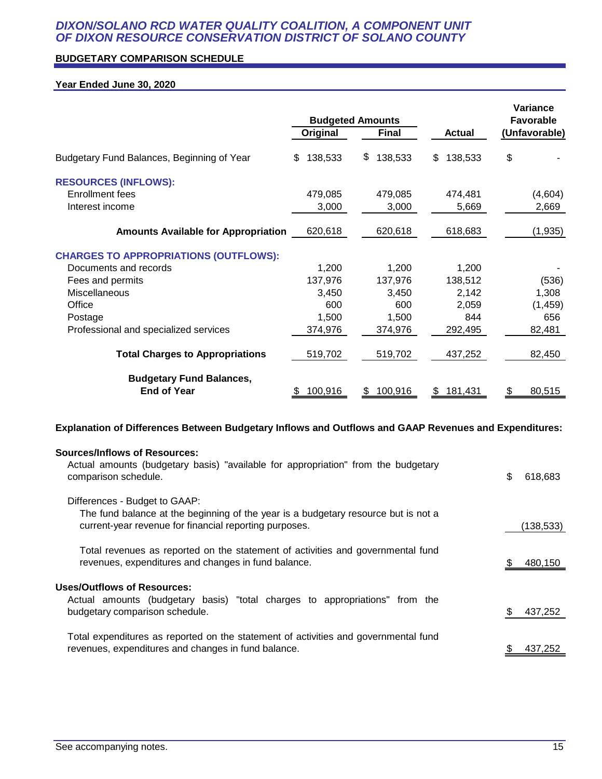## **BUDGETARY COMPARISON SCHEDULE**

## **Year Ended June 30, 2020**

|                                              |                | <b>Budgeted Amounts</b> |               | Variance<br><b>Favorable</b> |
|----------------------------------------------|----------------|-------------------------|---------------|------------------------------|
|                                              | Original       | <b>Final</b>            | <b>Actual</b> | (Unfavorable)                |
| Budgetary Fund Balances, Beginning of Year   | 138,533<br>\$. | \$<br>138,533           | 138,533<br>\$ | \$                           |
| <b>RESOURCES (INFLOWS):</b>                  |                |                         |               |                              |
| Enrollment fees                              | 479,085        | 479,085                 | 474,481       | (4,604)                      |
| Interest income                              | 3,000          | 3,000                   | 5,669         | 2,669                        |
| <b>Amounts Available for Appropriation</b>   | 620,618        | 620,618                 | 618,683       | (1,935)                      |
| <b>CHARGES TO APPROPRIATIONS (OUTFLOWS):</b> |                |                         |               |                              |
| Documents and records                        | 1,200          | 1,200                   | 1,200         |                              |
| Fees and permits                             | 137,976        | 137,976                 | 138,512       | (536)                        |
| Miscellaneous                                | 3,450          | 3,450                   | 2,142         | 1,308                        |
| Office                                       | 600            | 600                     | 2,059         | (1, 459)                     |
| Postage                                      | 1,500          | 1,500                   | 844           | 656                          |
| Professional and specialized services        | 374,976        | 374,976                 | 292,495       | 82,481                       |
| <b>Total Charges to Appropriations</b>       | 519,702        | 519,702                 | 437,252       | 82,450                       |
| <b>Budgetary Fund Balances,</b>              |                |                         |               |                              |
| <b>End of Year</b>                           | 100,916        | 100,916<br>S.           | 181,431<br>S. | 80,515<br>\$.                |

## **Explanation of Differences Between Budgetary Inflows and Outflows and GAAP Revenues and Expenditures:**

#### **Sources/Inflows of Resources:**

| Actual amounts (budgetary basis) "available for appropriation" from the budgetary<br>comparison schedule.                                                                     | \$<br>618,683 |
|-------------------------------------------------------------------------------------------------------------------------------------------------------------------------------|---------------|
| Differences - Budget to GAAP:<br>The fund balance at the beginning of the year is a budgetary resource but is not a<br>current-year revenue for financial reporting purposes. | (138, 533)    |
| Total revenues as reported on the statement of activities and governmental fund<br>revenues, expenditures and changes in fund balance.                                        | 480,150       |
| <b>Uses/Outflows of Resources:</b><br>Actual amounts (budgetary basis) "total charges to appropriations" from the<br>budgetary comparison schedule.                           | 437,252       |
| Total expenditures as reported on the statement of activities and governmental fund<br>revenues, expenditures and changes in fund balance.                                    | 437.25        |